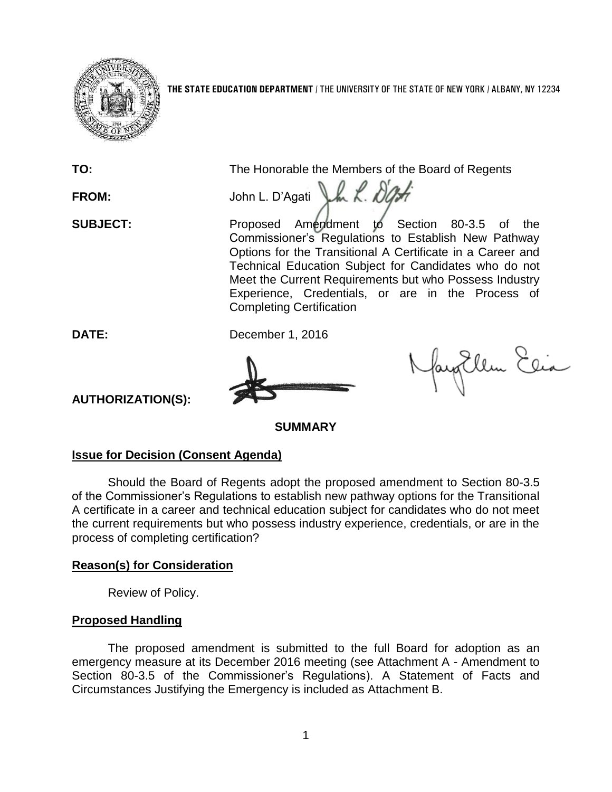

**THE STATE EDUCATION DEPARTMENT** / THE UNIVERSITY OF THE STATE OF NEW YORK / ALBANY, NY 12234

**TO:** The Honorable the Members of the Board of Regents FROM: John L. D'Agati J.h. K. D'Art **SUBJECT:** Proposed Amendment to Section 80-3.5 of the Commissioner's Regulations to Establish New Pathway Options for the Transitional A Certificate in a Career and Technical Education Subject for Candidates who do not Meet the Current Requirements but who Possess Industry Experience, Credentials, or are in the Process of Completing Certification **DATE:** December 1, 2016 fayatlem Elia

**AUTHORIZATION(S):**

**SUMMARY**

## **Issue for Decision (Consent Agenda)**

Should the Board of Regents adopt the proposed amendment to Section 80-3.5 of the Commissioner's Regulations to establish new pathway options for the Transitional A certificate in a career and technical education subject for candidates who do not meet the current requirements but who possess industry experience, credentials, or are in the process of completing certification?

## **Reason(s) for Consideration**

Review of Policy.

# **Proposed Handling**

The proposed amendment is submitted to the full Board for adoption as an emergency measure at its December 2016 meeting (see Attachment A - Amendment to Section 80-3.5 of the Commissioner's Regulations). A Statement of Facts and Circumstances Justifying the Emergency is included as Attachment B.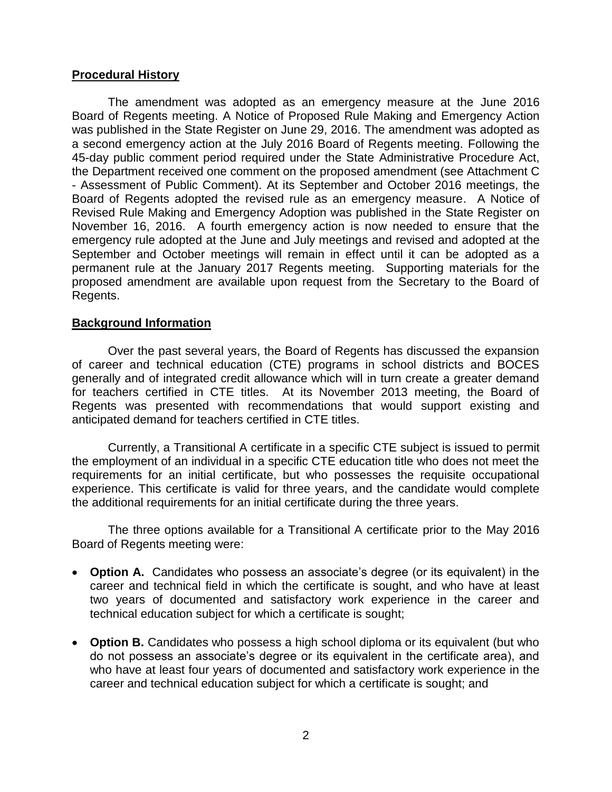## **Procedural History**

The amendment was adopted as an emergency measure at the June 2016 Board of Regents meeting. A Notice of Proposed Rule Making and Emergency Action was published in the State Register on June 29, 2016. The amendment was adopted as a second emergency action at the July 2016 Board of Regents meeting. Following the 45-day public comment period required under the State Administrative Procedure Act, the Department received one comment on the proposed amendment (see Attachment C - Assessment of Public Comment). At its September and October 2016 meetings, the Board of Regents adopted the revised rule as an emergency measure. A Notice of Revised Rule Making and Emergency Adoption was published in the State Register on November 16, 2016. A fourth emergency action is now needed to ensure that the emergency rule adopted at the June and July meetings and revised and adopted at the September and October meetings will remain in effect until it can be adopted as a permanent rule at the January 2017 Regents meeting. Supporting materials for the proposed amendment are available upon request from the Secretary to the Board of Regents.

## **Background Information**

Over the past several years, the Board of Regents has discussed the expansion of career and technical education (CTE) programs in school districts and BOCES generally and of integrated credit allowance which will in turn create a greater demand for teachers certified in CTE titles. At its November 2013 meeting, the Board of Regents was presented with recommendations that would support existing and anticipated demand for teachers certified in CTE titles.

Currently, a Transitional A certificate in a specific CTE subject is issued to permit the employment of an individual in a specific CTE education title who does not meet the requirements for an initial certificate, but who possesses the requisite occupational experience. This certificate is valid for three years, and the candidate would complete the additional requirements for an initial certificate during the three years.

The three options available for a Transitional A certificate prior to the May 2016 Board of Regents meeting were:

- **Option A.** Candidates who possess an associate's degree (or its equivalent) in the career and technical field in which the certificate is sought, and who have at least two years of documented and satisfactory work experience in the career and technical education subject for which a certificate is sought;
- **Option B.** Candidates who possess a high school diploma or its equivalent (but who do not possess an associate's degree or its equivalent in the certificate area), and who have at least four years of documented and satisfactory work experience in the career and technical education subject for which a certificate is sought; and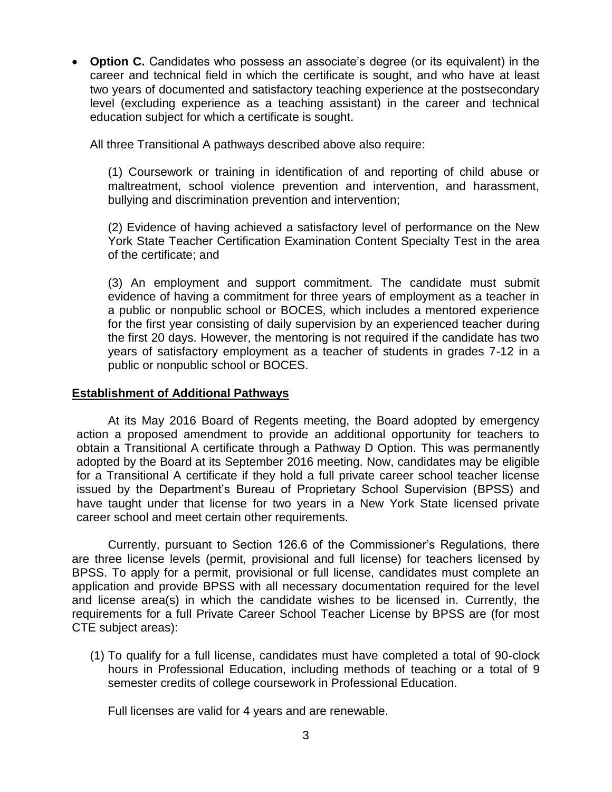**Option C.** Candidates who possess an associate's degree (or its equivalent) in the career and technical field in which the certificate is sought, and who have at least two years of documented and satisfactory teaching experience at the postsecondary level (excluding experience as a teaching assistant) in the career and technical education subject for which a certificate is sought.

All three Transitional A pathways described above also require:

(1) Coursework or training in identification of and reporting of child abuse or maltreatment, school violence prevention and intervention, and harassment, bullying and discrimination prevention and intervention;

(2) Evidence of having achieved a satisfactory level of performance on the New York State Teacher Certification Examination Content Specialty Test in the area of the certificate; and

(3) An employment and support commitment. The candidate must submit evidence of having a commitment for three years of employment as a teacher in a public or nonpublic school or BOCES, which includes a mentored experience for the first year consisting of daily supervision by an experienced teacher during the first 20 days. However, the mentoring is not required if the candidate has two years of satisfactory employment as a teacher of students in grades 7-12 in a public or nonpublic school or BOCES.

## **Establishment of Additional Pathways**

At its May 2016 Board of Regents meeting, the Board adopted by emergency action a proposed amendment to provide an additional opportunity for teachers to obtain a Transitional A certificate through a Pathway D Option. This was permanently adopted by the Board at its September 2016 meeting. Now, candidates may be eligible for a Transitional A certificate if they hold a full private career school teacher license issued by the Department's Bureau of Proprietary School Supervision (BPSS) and have taught under that license for two years in a New York State licensed private career school and meet certain other requirements.

Currently, pursuant to Section 126.6 of the Commissioner's Regulations, there are three license levels (permit, provisional and full license) for teachers licensed by BPSS. To apply for a permit, provisional or full license, candidates must complete an application and provide BPSS with all necessary documentation required for the level and license area(s) in which the candidate wishes to be licensed in. Currently, the requirements for a full Private Career School Teacher License by BPSS are (for most CTE subject areas):

(1) To qualify for a full license, candidates must have completed a total of 90-clock hours in Professional Education, including methods of teaching or a total of 9 semester credits of college coursework in Professional Education.

Full licenses are valid for 4 years and are renewable.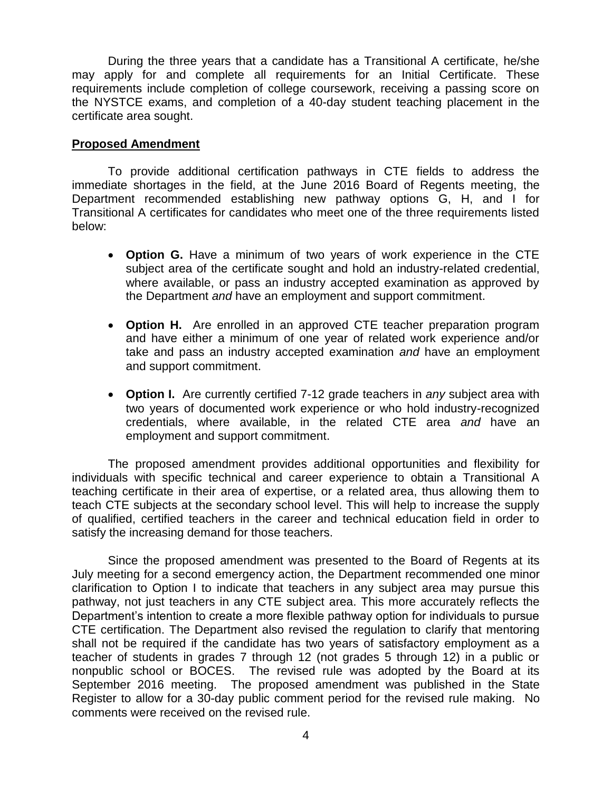During the three years that a candidate has a Transitional A certificate, he/she may apply for and complete all requirements for an Initial Certificate. These requirements include completion of college coursework, receiving a passing score on the NYSTCE exams, and completion of a 40-day student teaching placement in the certificate area sought.

## **Proposed Amendment**

To provide additional certification pathways in CTE fields to address the immediate shortages in the field, at the June 2016 Board of Regents meeting, the Department recommended establishing new pathway options G, H, and I for Transitional A certificates for candidates who meet one of the three requirements listed below:

- **Option G.** Have a minimum of two years of work experience in the CTE subject area of the certificate sought and hold an industry-related credential, where available, or pass an industry accepted examination as approved by the Department *and* have an employment and support commitment.
- **Option H.** Are enrolled in an approved CTE teacher preparation program and have either a minimum of one year of related work experience and/or take and pass an industry accepted examination *and* have an employment and support commitment.
- **Option I.** Are currently certified 7-12 grade teachers in *any* subject area with two years of documented work experience or who hold industry-recognized credentials, where available, in the related CTE area *and* have an employment and support commitment.

The proposed amendment provides additional opportunities and flexibility for individuals with specific technical and career experience to obtain a Transitional A teaching certificate in their area of expertise, or a related area, thus allowing them to teach CTE subjects at the secondary school level. This will help to increase the supply of qualified, certified teachers in the career and technical education field in order to satisfy the increasing demand for those teachers.

Since the proposed amendment was presented to the Board of Regents at its July meeting for a second emergency action, the Department recommended one minor clarification to Option I to indicate that teachers in any subject area may pursue this pathway, not just teachers in any CTE subject area. This more accurately reflects the Department's intention to create a more flexible pathway option for individuals to pursue CTE certification. The Department also revised the regulation to clarify that mentoring shall not be required if the candidate has two years of satisfactory employment as a teacher of students in grades 7 through 12 (not grades 5 through 12) in a public or nonpublic school or BOCES. The revised rule was adopted by the Board at its September 2016 meeting. The proposed amendment was published in the State Register to allow for a 30-day public comment period for the revised rule making. No comments were received on the revised rule.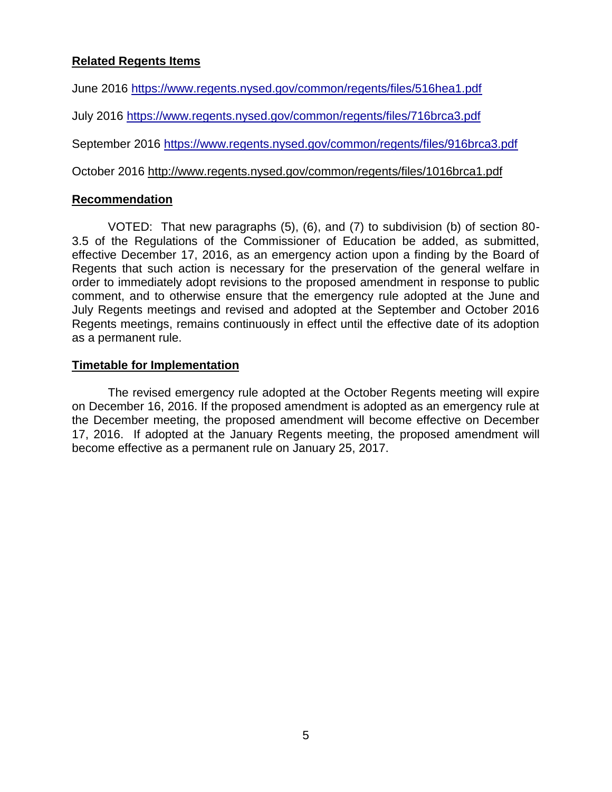# **Related Regents Items**

June 2016 <https://www.regents.nysed.gov/common/regents/files/516hea1.pdf>

July 2016<https://www.regents.nysed.gov/common/regents/files/716brca3.pdf>

September 2016<https://www.regents.nysed.gov/common/regents/files/916brca3.pdf>

October 2016 http://www.regents.nysed.gov/common/regents/files/1016brca1.pdf

## **Recommendation**

VOTED: That new paragraphs (5), (6), and (7) to subdivision (b) of section 80- 3.5 of the Regulations of the Commissioner of Education be added, as submitted, effective December 17, 2016, as an emergency action upon a finding by the Board of Regents that such action is necessary for the preservation of the general welfare in order to immediately adopt revisions to the proposed amendment in response to public comment, and to otherwise ensure that the emergency rule adopted at the June and July Regents meetings and revised and adopted at the September and October 2016 Regents meetings, remains continuously in effect until the effective date of its adoption as a permanent rule.

## **Timetable for Implementation**

The revised emergency rule adopted at the October Regents meeting will expire on December 16, 2016. If the proposed amendment is adopted as an emergency rule at the December meeting, the proposed amendment will become effective on December 17, 2016. If adopted at the January Regents meeting, the proposed amendment will become effective as a permanent rule on January 25, 2017.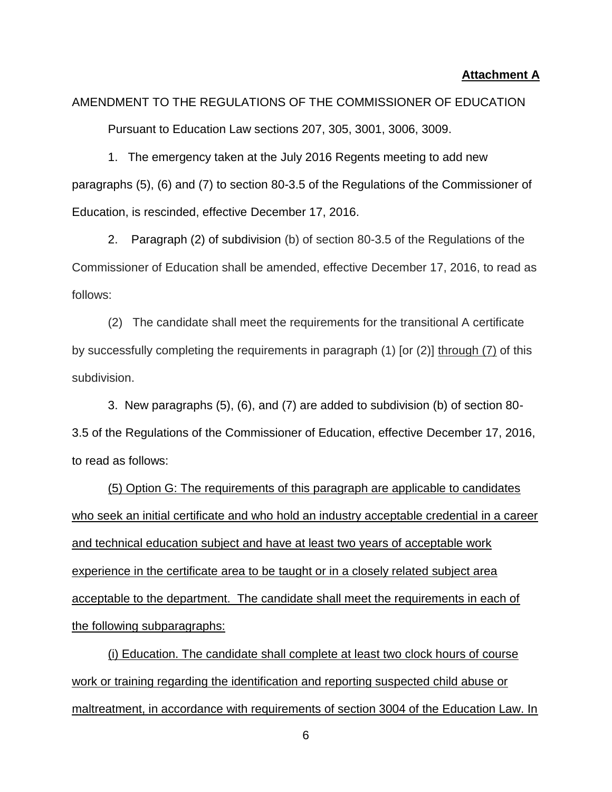#### **Attachment A**

# AMENDMENT TO THE REGULATIONS OF THE COMMISSIONER OF EDUCATION Pursuant to Education Law sections 207, 305, 3001, 3006, 3009.

1. The emergency taken at the July 2016 Regents meeting to add new paragraphs (5), (6) and (7) to section 80-3.5 of the Regulations of the Commissioner of Education, is rescinded, effective December 17, 2016.

2. Paragraph (2) of subdivision (b) of section 80-3.5 of the Regulations of the Commissioner of Education shall be amended, effective December 17, 2016, to read as follows:

(2) The candidate shall meet the requirements for the transitional A certificate by successfully completing the requirements in paragraph (1) [or (2)] through (7) of this subdivision.

3. New paragraphs (5), (6), and (7) are added to subdivision (b) of section 80- 3.5 of the Regulations of the Commissioner of Education, effective December 17, 2016, to read as follows:

(5) Option G: The requirements of this paragraph are applicable to candidates who seek an initial certificate and who hold an industry acceptable credential in a career and technical education subject and have at least two years of acceptable work experience in the certificate area to be taught or in a closely related subject area acceptable to the department. The candidate shall meet the requirements in each of the following subparagraphs:

(i) Education. The candidate shall complete at least two clock hours of course work or training regarding the identification and reporting suspected child abuse or maltreatment, in accordance with requirements of section 3004 of the Education Law. In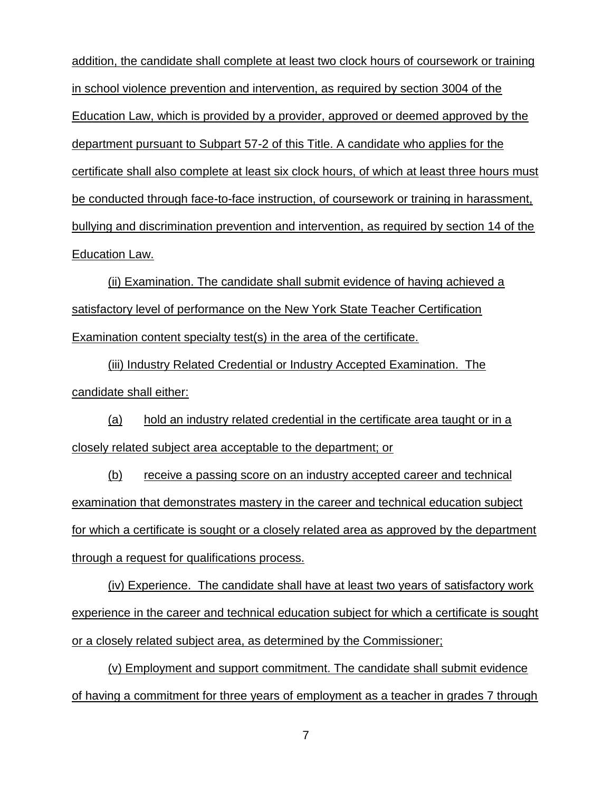addition, the candidate shall complete at least two clock hours of coursework or training in school violence prevention and intervention, as required by section 3004 of the Education Law, which is provided by a provider, approved or deemed approved by the department pursuant to Subpart 57-2 of this Title. A candidate who applies for the certificate shall also complete at least six clock hours, of which at least three hours must be conducted through face-to-face instruction, of coursework or training in harassment, bullying and discrimination prevention and intervention, as required by section 14 of the Education Law.

(ii) Examination. The candidate shall submit evidence of having achieved a satisfactory level of performance on the New York State Teacher Certification Examination content specialty test(s) in the area of the certificate.

(iii) Industry Related Credential or Industry Accepted Examination. The candidate shall either:

(a) hold an industry related credential in the certificate area taught or in a closely related subject area acceptable to the department; or

(b) receive a passing score on an industry accepted career and technical examination that demonstrates mastery in the career and technical education subject for which a certificate is sought or a closely related area as approved by the department through a request for qualifications process.

(iv) Experience. The candidate shall have at least two years of satisfactory work experience in the career and technical education subject for which a certificate is sought or a closely related subject area, as determined by the Commissioner;

(v) Employment and support commitment. The candidate shall submit evidence of having a commitment for three years of employment as a teacher in grades 7 through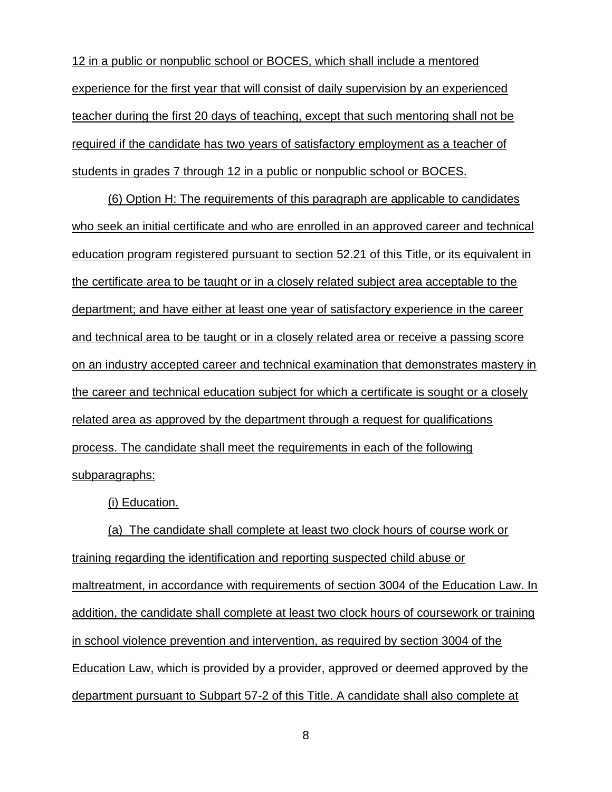12 in a public or nonpublic school or BOCES, which shall include a mentored experience for the first year that will consist of daily supervision by an experienced teacher during the first 20 days of teaching, except that such mentoring shall not be required if the candidate has two years of satisfactory employment as a teacher of students in grades 7 through 12 in a public or nonpublic school or BOCES.

(6) Option H: The requirements of this paragraph are applicable to candidates who seek an initial certificate and who are enrolled in an approved career and technical education program registered pursuant to section 52.21 of this Title, or its equivalent in the certificate area to be taught or in a closely related subject area acceptable to the department; and have either at least one year of satisfactory experience in the career and technical area to be taught or in a closely related area or receive a passing score on an industry accepted career and technical examination that demonstrates mastery in the career and technical education subject for which a certificate is sought or a closely related area as approved by the department through a request for qualifications process. The candidate shall meet the requirements in each of the following subparagraphs:

(i) Education.

(a) The candidate shall complete at least two clock hours of course work or training regarding the identification and reporting suspected child abuse or maltreatment, in accordance with requirements of section 3004 of the Education Law. In addition, the candidate shall complete at least two clock hours of coursework or training in school violence prevention and intervention, as required by section 3004 of the Education Law, which is provided by a provider, approved or deemed approved by the department pursuant to Subpart 57-2 of this Title. A candidate shall also complete at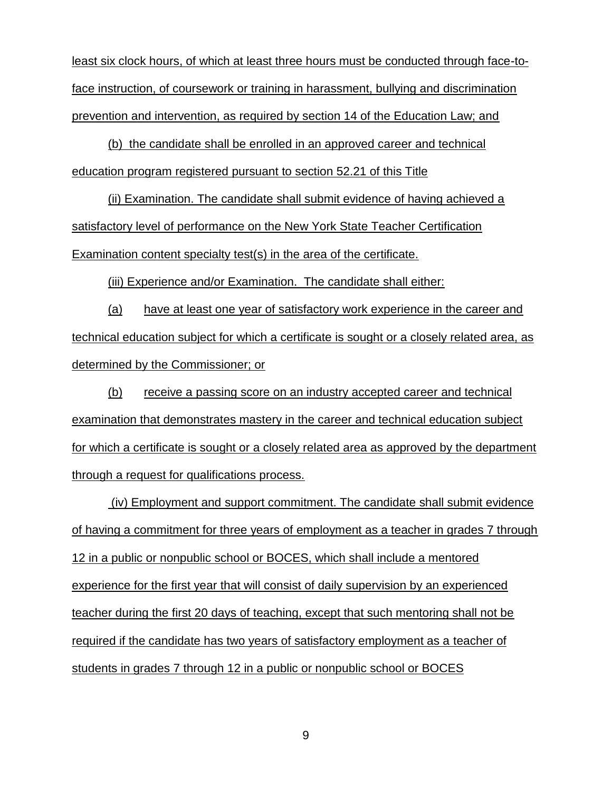least six clock hours, of which at least three hours must be conducted through face-toface instruction, of coursework or training in harassment, bullying and discrimination prevention and intervention, as required by section 14 of the Education Law; and

(b) the candidate shall be enrolled in an approved career and technical education program registered pursuant to section 52.21 of this Title

(ii) Examination. The candidate shall submit evidence of having achieved a satisfactory level of performance on the New York State Teacher Certification Examination content specialty test(s) in the area of the certificate.

(iii) Experience and/or Examination. The candidate shall either:

(a) have at least one year of satisfactory work experience in the career and technical education subject for which a certificate is sought or a closely related area, as determined by the Commissioner; or

(b) receive a passing score on an industry accepted career and technical examination that demonstrates mastery in the career and technical education subject for which a certificate is sought or a closely related area as approved by the department through a request for qualifications process.

(iv) Employment and support commitment. The candidate shall submit evidence of having a commitment for three years of employment as a teacher in grades 7 through 12 in a public or nonpublic school or BOCES, which shall include a mentored experience for the first year that will consist of daily supervision by an experienced teacher during the first 20 days of teaching, except that such mentoring shall not be required if the candidate has two years of satisfactory employment as a teacher of students in grades 7 through 12 in a public or nonpublic school or BOCES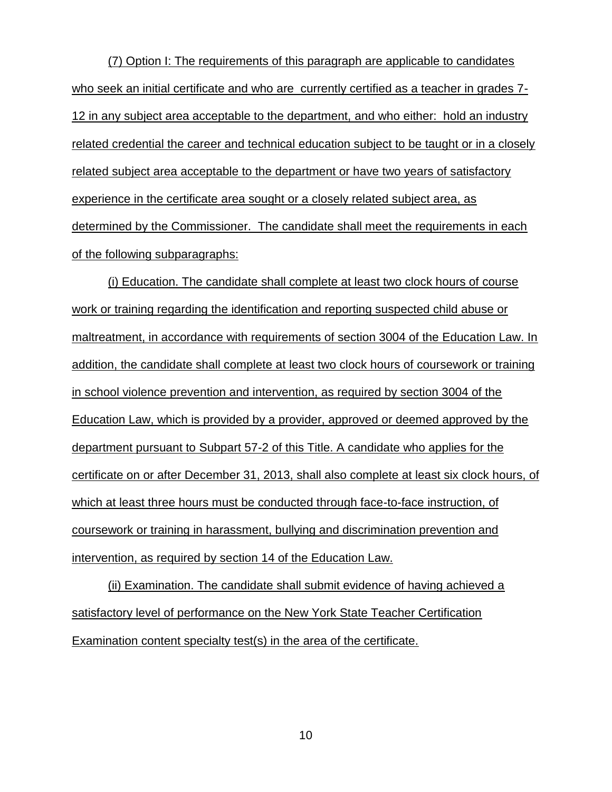(7) Option I: The requirements of this paragraph are applicable to candidates who seek an initial certificate and who are currently certified as a teacher in grades 7- 12 in any subject area acceptable to the department, and who either: hold an industry related credential the career and technical education subject to be taught or in a closely related subject area acceptable to the department or have two years of satisfactory experience in the certificate area sought or a closely related subject area, as determined by the Commissioner. The candidate shall meet the requirements in each of the following subparagraphs:

(i) Education. The candidate shall complete at least two clock hours of course work or training regarding the identification and reporting suspected child abuse or maltreatment, in accordance with requirements of section 3004 of the Education Law. In addition, the candidate shall complete at least two clock hours of coursework or training in school violence prevention and intervention, as required by section 3004 of the Education Law, which is provided by a provider, approved or deemed approved by the department pursuant to Subpart 57-2 of this Title. A candidate who applies for the certificate on or after December 31, 2013, shall also complete at least six clock hours, of which at least three hours must be conducted through face-to-face instruction, of coursework or training in harassment, bullying and discrimination prevention and intervention, as required by section 14 of the Education Law.

(ii) Examination. The candidate shall submit evidence of having achieved a satisfactory level of performance on the New York State Teacher Certification Examination content specialty test(s) in the area of the certificate.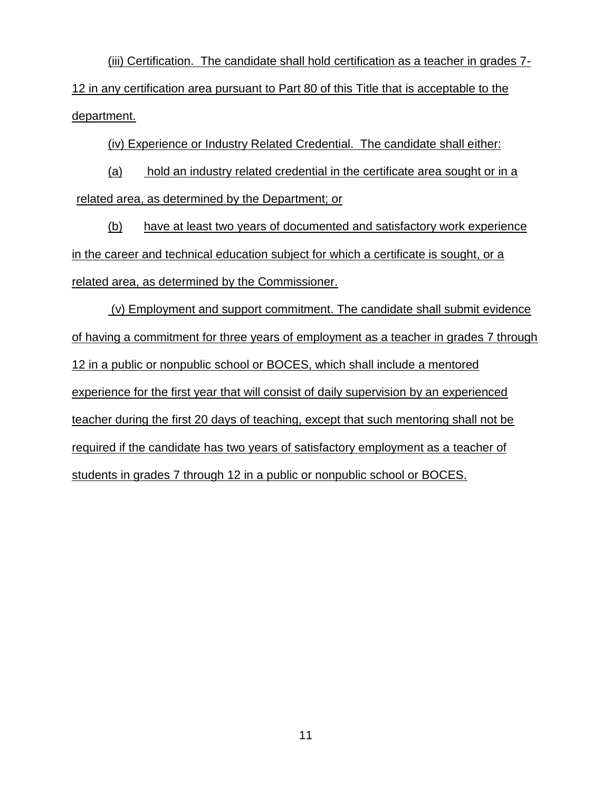(iii) Certification. The candidate shall hold certification as a teacher in grades 7- 12 in any certification area pursuant to Part 80 of this Title that is acceptable to the department.

(iv) Experience or Industry Related Credential. The candidate shall either:

(a) hold an industry related credential in the certificate area sought or in a related area, as determined by the Department; or

(b) have at least two years of documented and satisfactory work experience in the career and technical education subject for which a certificate is sought, or a related area, as determined by the Commissioner.

(v) Employment and support commitment. The candidate shall submit evidence of having a commitment for three years of employment as a teacher in grades 7 through 12 in a public or nonpublic school or BOCES, which shall include a mentored experience for the first year that will consist of daily supervision by an experienced teacher during the first 20 days of teaching, except that such mentoring shall not be required if the candidate has two years of satisfactory employment as a teacher of students in grades 7 through 12 in a public or nonpublic school or BOCES.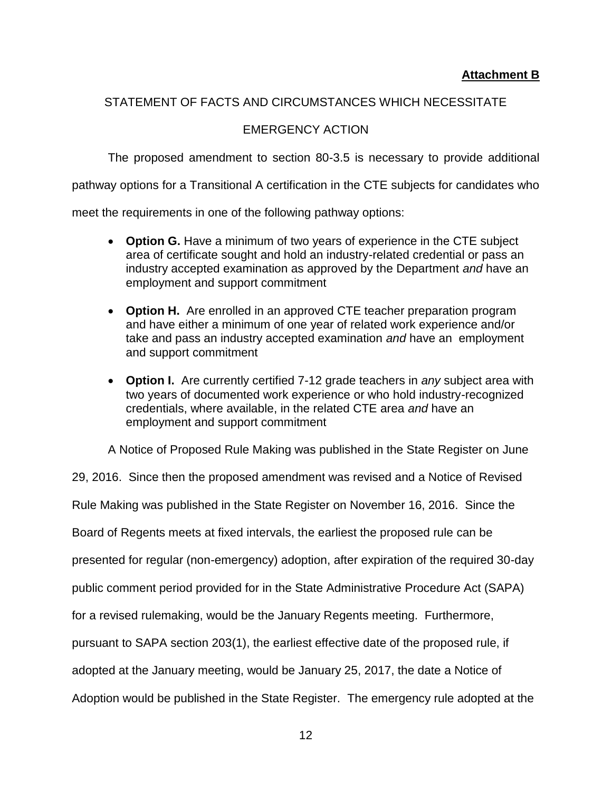# STATEMENT OF FACTS AND CIRCUMSTANCES WHICH NECESSITATE

# EMERGENCY ACTION

The proposed amendment to section 80-3.5 is necessary to provide additional

pathway options for a Transitional A certification in the CTE subjects for candidates who

meet the requirements in one of the following pathway options:

- **Option G.** Have a minimum of two years of experience in the CTE subject area of certificate sought and hold an industry-related credential or pass an industry accepted examination as approved by the Department *and* have an employment and support commitment
- **Option H.** Are enrolled in an approved CTE teacher preparation program and have either a minimum of one year of related work experience and/or take and pass an industry accepted examination *and* have an employment and support commitment
- **Option I.** Are currently certified 7-12 grade teachers in *any* subject area with two years of documented work experience or who hold industry-recognized credentials, where available, in the related CTE area *and* have an employment and support commitment

A Notice of Proposed Rule Making was published in the State Register on June

29, 2016. Since then the proposed amendment was revised and a Notice of Revised Rule Making was published in the State Register on November 16, 2016. Since the Board of Regents meets at fixed intervals, the earliest the proposed rule can be presented for regular (non-emergency) adoption, after expiration of the required 30-day public comment period provided for in the State Administrative Procedure Act (SAPA) for a revised rulemaking, would be the January Regents meeting. Furthermore, pursuant to SAPA section 203(1), the earliest effective date of the proposed rule, if adopted at the January meeting, would be January 25, 2017, the date a Notice of Adoption would be published in the State Register. The emergency rule adopted at the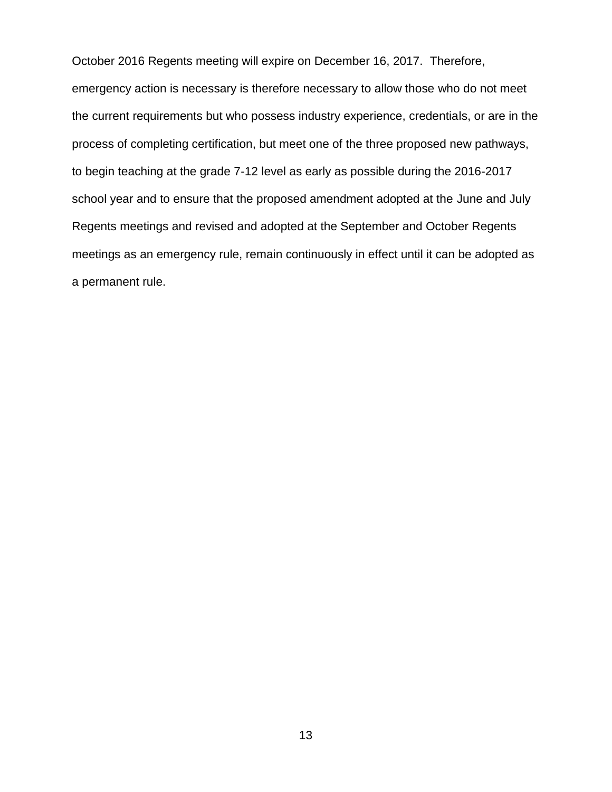October 2016 Regents meeting will expire on December 16, 2017. Therefore, emergency action is necessary is therefore necessary to allow those who do not meet the current requirements but who possess industry experience, credentials, or are in the process of completing certification, but meet one of the three proposed new pathways, to begin teaching at the grade 7-12 level as early as possible during the 2016-2017 school year and to ensure that the proposed amendment adopted at the June and July Regents meetings and revised and adopted at the September and October Regents meetings as an emergency rule, remain continuously in effect until it can be adopted as a permanent rule.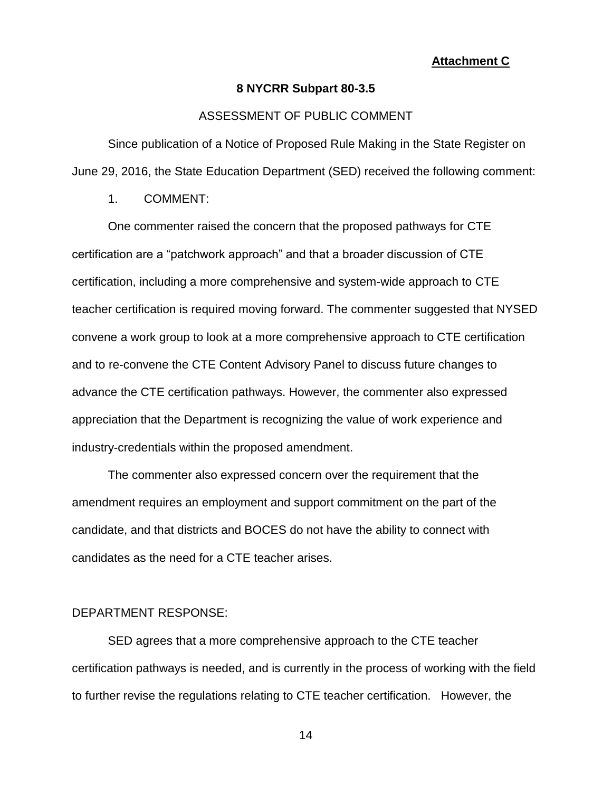#### **Attachment C**

#### **8 NYCRR Subpart 80-3.5**

#### ASSESSMENT OF PUBLIC COMMENT

Since publication of a Notice of Proposed Rule Making in the State Register on June 29, 2016, the State Education Department (SED) received the following comment:

1. COMMENT:

One commenter raised the concern that the proposed pathways for CTE certification are a "patchwork approach" and that a broader discussion of CTE certification, including a more comprehensive and system-wide approach to CTE teacher certification is required moving forward. The commenter suggested that NYSED convene a work group to look at a more comprehensive approach to CTE certification and to re-convene the CTE Content Advisory Panel to discuss future changes to advance the CTE certification pathways. However, the commenter also expressed appreciation that the Department is recognizing the value of work experience and industry-credentials within the proposed amendment.

The commenter also expressed concern over the requirement that the amendment requires an employment and support commitment on the part of the candidate, and that districts and BOCES do not have the ability to connect with candidates as the need for a CTE teacher arises.

#### DEPARTMENT RESPONSE:

SED agrees that a more comprehensive approach to the CTE teacher certification pathways is needed, and is currently in the process of working with the field to further revise the regulations relating to CTE teacher certification. However, the